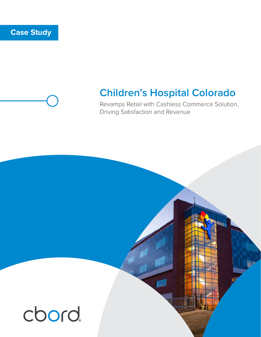### **Case Study**

## **Children's Hospital Colorado**

Revamps Retail with Cashless Commerce Solution, Driving Satisfaction and Revenue

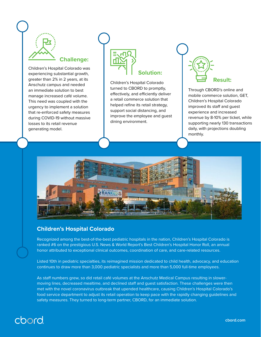

#### **Challenge:**

Children's Hospital Colorado was experiencing substantial growth, greater than 2% in 2 years, at its Anschutz campus and needed an immediate solution to best manage increased café volume. This need was coupled with the urgency to implement a solution that re-enforced safety measures during COVID-19 without massive losses to its retail revenue generating model.



Children's Hospital Colorado turned to CBORD to promptly, effectively, and efficiently deliver a retail commerce solution that helped refine its retail strategy, support social distancing, and improve the employee and guest dining environment.

# **Result:**

Through CBORD's online and mobile commerce solution, GET, Children's Hospital Colorado improved its staff and guest experience and increased revenue by 8-10% per ticket, while supporting nearly 130 transactions daily, with projections doubling monthly.



#### **Children's Hospital Colorado**

Recognized among the best-of-the-best pediatric hospitals in the nation, Children's Hospital Colorado is ranked #6 on the prestigious U.S. News & World Report's Best Children's Hospital Honor Roll, an annual honor attributed to exceptional clinical outcomes, coordination of care, and care-related resources.

Listed 10th in pediatric specialties, its reimagined mission dedicated to child health, advocacy, and education continues to draw more than 3,000 pediatric specialists and more than 5,000 full-time employees.

As staff numbers grew, so did retail café volumes at the Anschutz Medical Campus resulting in slowermoving lines, decreased mealtime, and declined staff and guest satisfaction. These challenges were then met with the novel coronavirus outbreak that upended healthcare, causing Children's Hospital Colorado's food service department to adjust its retail operation to keep pace with the rapidly changing guidelines and safety measures. They turned to long-term partner, CBORD, for an immediate solution.

## cbord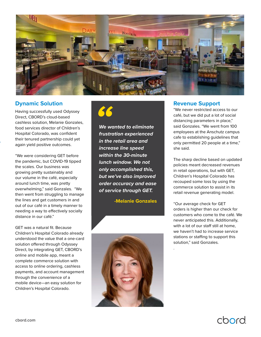

#### **Dynamic Solution**

Having successfully used Odyssey Direct, CBORD's cloud-based cashless solution, Melanie Gonzales, food services director of Children's Hospital Colorado, was confident their tenured partnership could yet again yield positive outcomes.

"We were considering GET before the pandemic, but COVID-19 tipped the scales. Our business was growing pretty sustainably and our volume in the café, especially around lunch time, was pretty overwhelming," said Gonzales. "We then went from struggling to manage the lines and get customers in and out of our café in a timely manner to needing a way to effectively socially distance in our café."

GET was a natural fit. Because Children's Hospital Colorado already understood the value that a one-card solution offered through Odyssey Direct, by integrating GET, CBORD's online and mobile app, meant a complete commerce solution with access to online ordering, cashless payments, and account management through the convenience of a mobile device—an easy solution for Children's Hospital Colorado.



*We wanted to eliminate frustration experienced in the retail area and increase line speed within the 30-minute lunch window. We not only accomplished this, but we've also improved order accuracy and ease of service through GET.*

 **-Melanie Gonzales**



#### **Revenue Support**

"We never restricted access to our café, but we did put a lot of social distancing parameters in place," said Gonzales. "We went from 100 employees at the Anschutz campus cafe to establishing guidelines that only permitted 20 people at a time," she said.

The sharp decline based on updated policies meant decreased revenues in retail operations, but with GET, Children's Hospital Colorado has recouped some loss by using the commerce solution to assist in its retail revenue generating model.

"Our average check for GET orders is higher than our check for customers who come to the café. We never anticipated this. Additionally, with a lot of our staff still at home, we haven't had to increase service stations or staffing to support this solution," said Gonzales.

.